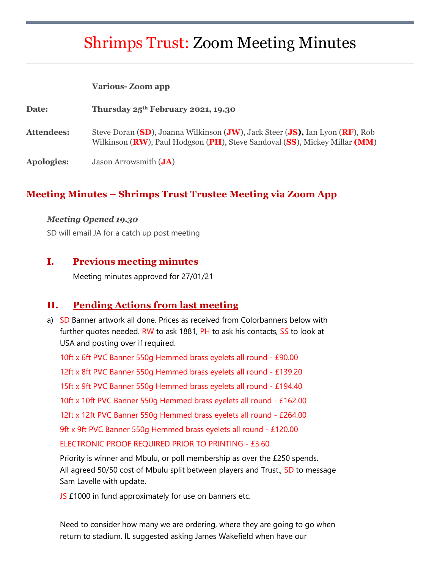# Shrimps Trust: Zoom Meeting Minutes

#### **Various- Zoom app**

| Date:      | Thursday $25^{th}$ February 2021, 19.30                                                                                                                    |
|------------|------------------------------------------------------------------------------------------------------------------------------------------------------------|
| Attendees: | Steve Doran (SD), Joanna Wilkinson (JW), Jack Steer (JS), Ian Lyon (RF), Rob<br>Wilkinson (RW), Paul Hodgson (PH), Steve Sandoval (SS), Mickey Millar (MM) |
| Apologies: | Jason Arrowsmith $(JA)$                                                                                                                                    |

#### **Meeting Minutes – Shrimps Trust Trustee Meeting via Zoom App**

#### *Meeting Opened 19.30*

SD will email JA for a catch up post meeting

#### **I. Previous meeting minutes**

Meeting minutes approved for 27/01/21

#### **II. Pending Actions from last meeting**

a) SD Banner artwork all done. Prices as received from Colorbanners below with further quotes needed. RW to ask 1881, PH to ask his contacts, SS to look at USA and posting over if required.

10ft x 6ft PVC Banner 550g Hemmed brass eyelets all round - £90.00 12ft x 8ft PVC Banner 550g Hemmed brass eyelets all round - £139.20 15ft x 9ft PVC Banner 550g Hemmed brass eyelets all round - £194.40 10ft x 10ft PVC Banner 550g Hemmed brass eyelets all round - £162.00 12ft x 12ft PVC Banner 550g Hemmed brass eyelets all round - £264.00 9ft x 9ft PVC Banner 550g Hemmed brass eyelets all round - £120.00 ELECTRONIC PROOF REQUIRED PRIOR TO PRINTING - £3.60

Priority is winner and Mbulu, or poll membership as over the £250 spends. All agreed 50/50 cost of Mbulu split between players and Trust., SD to message Sam Lavelle with update.

JS £1000 in fund approximately for use on banners etc.

Need to consider how many we are ordering, where they are going to go when return to stadium. IL suggested asking James Wakefield when have our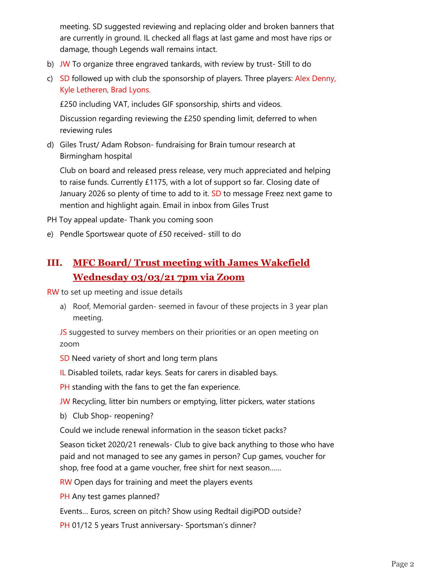meeting. SD suggested reviewing and replacing older and broken banners that are currently in ground. IL checked all flags at last game and most have rips or damage, though Legends wall remains intact.

- b) JW To organize three engraved tankards, with review by trust-Still to do
- c) SD followed up with club the sponsorship of players. Three players: Alex Denny, Kyle Letheren, Brad Lyons.

£250 including VAT, includes GIF sponsorship, shirts and videos.

Discussion regarding reviewing the £250 spending limit, deferred to when reviewing rules

d) Giles Trust/ Adam Robson- fundraising for Brain tumour research at Birmingham hospital

Club on board and released press release, very much appreciated and helping to raise funds. Currently £1175, with a lot of support so far. Closing date of January 2026 so plenty of time to add to it. SD to message Freez next game to mention and highlight again. Email in inbox from Giles Trust

PH Toy appeal update- Thank you coming soon

e) Pendle Sportswear quote of £50 received- still to do

# **III. MFC Board/ Trust meeting with James Wakefield Wednesday 03/03/21 7pm via Zoom**

RW to set up meeting and issue details

a) Roof, Memorial garden- seemed in favour of these projects in 3 year plan meeting.

JS suggested to survey members on their priorities or an open meeting on zoom

SD Need variety of short and long term plans

IL Disabled toilets, radar keys. Seats for carers in disabled bays.

PH standing with the fans to get the fan experience.

- JW Recycling, litter bin numbers or emptying, litter pickers, water stations
- b) Club Shop- reopening?

Could we include renewal information in the season ticket packs?

Season ticket 2020/21 renewals- Club to give back anything to those who have paid and not managed to see any games in person? Cup games, voucher for shop, free food at a game voucher, free shirt for next season……

RW Open days for training and meet the players events

PH Any test games planned?

Events… Euros, screen on pitch? Show using Redtail digiPOD outside?

PH 01/12 5 years Trust anniversary- Sportsman's dinner?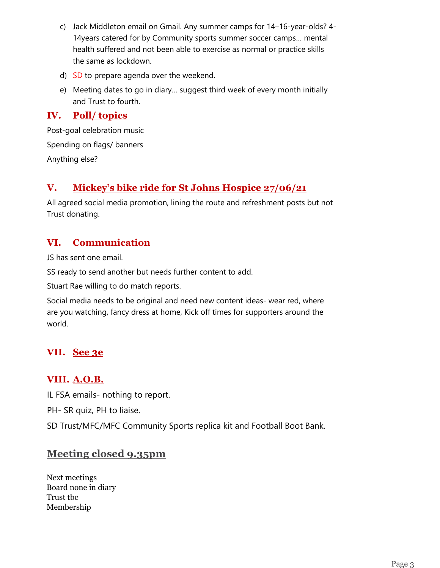- c) Jack Middleton email on Gmail. Any summer camps for 14–16-year-olds? 4- 14years catered for by Community sports summer soccer camps… mental health suffered and not been able to exercise as normal or practice skills the same as lockdown.
- d) SD to prepare agenda over the weekend.
- e) Meeting dates to go in diary… suggest third week of every month initially and Trust to fourth.

#### **IV. Poll/ topics**

Post-goal celebration music Spending on flags/ banners Anything else?

## **V. Mickey's bike ride for St Johns Hospice 27/06/21**

All agreed social media promotion, lining the route and refreshment posts but not Trust donating.

# **VI. Communication**

JS has sent one email.

SS ready to send another but needs further content to add.

Stuart Rae willing to do match reports.

Social media needs to be original and need new content ideas- wear red, where are you watching, fancy dress at home, Kick off times for supporters around the world.

# **VII. See 3e**

## **VIII. A.O.B.**

IL FSA emails- nothing to report.

PH- SR quiz, PH to liaise.

SD Trust/MFC/MFC Community Sports replica kit and Football Boot Bank.

## **Meeting closed 9.35pm**

Next meetings Board none in diary Trust tbc Membership